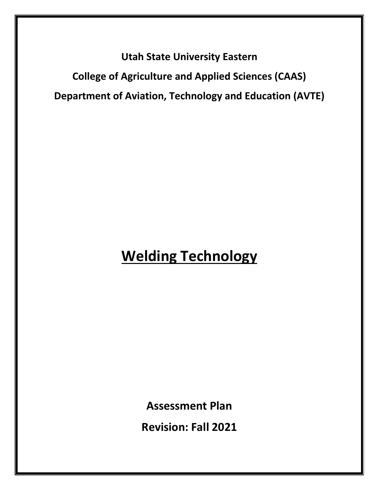**Utah State University Eastern College of Agriculture and Applied Sciences (CAAS) Department of Aviation, Technology and Education (AVTE)**

# **Welding Technology**

**Assessment Plan** 

**Revision: Fall 2021**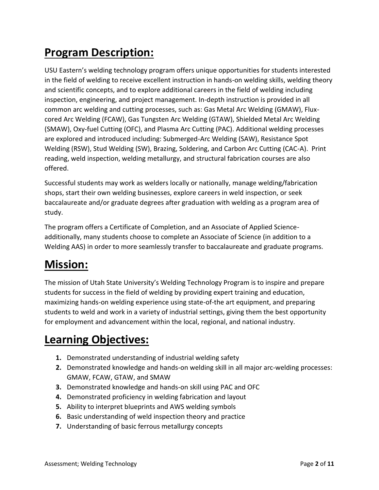## **Program Description:**

USU Eastern's welding technology program offers unique opportunities for students interested in the field of welding to receive excellent instruction in hands-on welding skills, welding theory and scientific concepts, and to explore additional careers in the field of welding including inspection, engineering, and project management. In-depth instruction is provided in all common arc welding and cutting processes, such as: Gas Metal Arc Welding (GMAW), Fluxcored Arc Welding (FCAW), Gas Tungsten Arc Welding (GTAW), Shielded Metal Arc Welding (SMAW), Oxy-fuel Cutting (OFC), and Plasma Arc Cutting (PAC). Additional welding processes are explored and introduced including: Submerged-Arc Welding (SAW), Resistance Spot Welding (RSW), Stud Welding (SW), Brazing, Soldering, and Carbon Arc Cutting (CAC-A). Print reading, weld inspection, welding metallurgy, and structural fabrication courses are also offered.

Successful students may work as welders locally or nationally, manage welding/fabrication shops, start their own welding businesses, explore careers in weld inspection, or seek baccalaureate and/or graduate degrees after graduation with welding as a program area of study.

The program offers a Certificate of Completion, and an Associate of Applied Scienceadditionally, many students choose to complete an Associate of Science (in addition to a Welding AAS) in order to more seamlessly transfer to baccalaureate and graduate programs.

## **Mission:**

The mission of Utah State University's Welding Technology Program is to inspire and prepare students for success in the field of welding by providing expert training and education, maximizing hands-on welding experience using state-of-the art equipment, and preparing students to weld and work in a variety of industrial settings, giving them the best opportunity for employment and advancement within the local, regional, and national industry.

## **Learning Objectives:**

- **1.** Demonstrated understanding of industrial welding safety
- **2.** Demonstrated knowledge and hands-on welding skill in all major arc-welding processes: GMAW, FCAW, GTAW, and SMAW
- **3.** Demonstrated knowledge and hands-on skill using PAC and OFC
- **4.** Demonstrated proficiency in welding fabrication and layout
- **5.** Ability to interpret blueprints and AWS welding symbols
- **6.** Basic understanding of weld inspection theory and practice
- **7.** Understanding of basic ferrous metallurgy concepts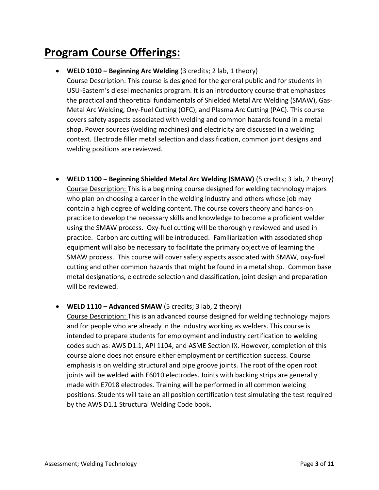## **Program Course Offerings:**

#### • **WELD 1010 – Beginning Arc Welding** (3 credits; 2 lab, 1 theory)

Course Description: This course is designed for the general public and for students in USU-Eastern's diesel mechanics program. It is an introductory course that emphasizes the practical and theoretical fundamentals of Shielded Metal Arc Welding (SMAW), Gas-Metal Arc Welding, Oxy-Fuel Cutting (OFC), and Plasma Arc Cutting (PAC). This course covers safety aspects associated with welding and common hazards found in a metal shop. Power sources (welding machines) and electricity are discussed in a welding context. Electrode filler metal selection and classification, common joint designs and welding positions are reviewed.

• **WELD 1100 – Beginning Shielded Metal Arc Welding (SMAW)** (5 credits; 3 lab, 2 theory) Course Description: This is a beginning course designed for welding technology majors who plan on choosing a career in the welding industry and others whose job may contain a high degree of welding content. The course covers theory and hands-on practice to develop the necessary skills and knowledge to become a proficient welder using the SMAW process. Oxy-fuel cutting will be thoroughly reviewed and used in practice. Carbon arc cutting will be introduced. Familiarization with associated shop equipment will also be necessary to facilitate the primary objective of learning the SMAW process. This course will cover safety aspects associated with SMAW, oxy-fuel cutting and other common hazards that might be found in a metal shop. Common base metal designations, electrode selection and classification, joint design and preparation will be reviewed.

• **WELD 1110 – Advanced SMAW** (5 credits; 3 lab, 2 theory)

Course Description: This is an advanced course designed for welding technology majors and for people who are already in the industry working as welders. This course is intended to prepare students for employment and industry certification to welding codes such as: AWS D1.1, API 1104, and ASME Section IX. However, completion of this course alone does not ensure either employment or certification success. Course emphasis is on welding structural and pipe groove joints. The root of the open root joints will be welded with E6010 electrodes. Joints with backing strips are generally made with E7018 electrodes. Training will be performed in all common welding positions. Students will take an all position certification test simulating the test required by the AWS D1.1 Structural Welding Code book.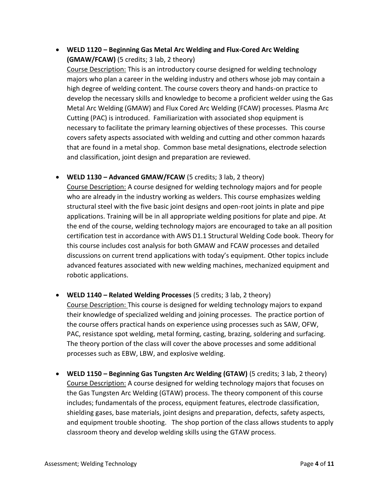• **WELD 1120 – Beginning Gas Metal Arc Welding and Flux-Cored Arc Welding (GMAW/FCAW)** (5 credits; 3 lab, 2 theory)

Course Description: This is an introductory course designed for welding technology majors who plan a career in the welding industry and others whose job may contain a high degree of welding content. The course covers theory and hands-on practice to develop the necessary skills and knowledge to become a proficient welder using the Gas Metal Arc Welding (GMAW) and Flux Cored Arc Welding (FCAW) processes. Plasma Arc Cutting (PAC) is introduced. Familiarization with associated shop equipment is necessary to facilitate the primary learning objectives of these processes. This course covers safety aspects associated with welding and cutting and other common hazards that are found in a metal shop. Common base metal designations, electrode selection and classification, joint design and preparation are reviewed.

• **WELD 1130 – Advanced GMAW/FCAW** (5 credits; 3 lab, 2 theory)

Course Description: A course designed for welding technology majors and for people who are already in the industry working as welders. This course emphasizes welding structural steel with the five basic joint designs and open-root joints in plate and pipe applications. Training will be in all appropriate welding positions for plate and pipe. At the end of the course, welding technology majors are encouraged to take an all position certification test in accordance with AWS D1.1 Structural Welding Code book. Theory for this course includes cost analysis for both GMAW and FCAW processes and detailed discussions on current trend applications with today's equipment. Other topics include advanced features associated with new welding machines, mechanized equipment and robotic applications.

- **WELD 1140 – Related Welding Processes** (5 credits; 3 lab, 2 theory) Course Description: This course is designed for welding technology majors to expand their knowledge of specialized welding and joining processes. The practice portion of the course offers practical hands on experience using processes such as SAW, OFW, PAC, resistance spot welding, metal forming, casting, brazing, soldering and surfacing. The theory portion of the class will cover the above processes and some additional processes such as EBW, LBW, and explosive welding.
- **WELD 1150 – Beginning Gas Tungsten Arc Welding (GTAW)** (5 credits; 3 lab, 2 theory) Course Description: A course designed for welding technology majors that focuses on the Gas Tungsten Arc Welding (GTAW) process. The theory component of this course includes; fundamentals of the process, equipment features, electrode classification, shielding gases, base materials, joint designs and preparation, defects, safety aspects, and equipment trouble shooting. The shop portion of the class allows students to apply classroom theory and develop welding skills using the GTAW process.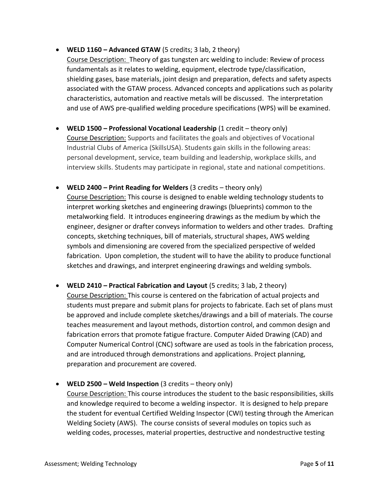• **WELD 1160 – Advanced GTAW** (5 credits; 3 lab, 2 theory)

Course Description: Theory of gas tungsten arc welding to include: Review of process fundamentals as it relates to welding, equipment, electrode type/classification, shielding gases, base materials, joint design and preparation, defects and safety aspects associated with the GTAW process. Advanced concepts and applications such as polarity characteristics, automation and reactive metals will be discussed. The interpretation and use of AWS pre-qualified welding procedure specifications (WPS) will be examined.

- **WELD 1500 – Professional Vocational Leadership** (1 credit theory only) Course Description: Supports and facilitates the goals and objectives of Vocational Industrial Clubs of America (SkillsUSA). Students gain skills in the following areas: personal development, service, team building and leadership, workplace skills, and interview skills. Students may participate in regional, state and national competitions.
- **WELD 2400 – Print Reading for Welders** (3 credits theory only) Course Description: This course is designed to enable welding technology students to interpret working sketches and engineering drawings (blueprints) common to the metalworking field. It introduces engineering drawings as the medium by which the engineer, designer or drafter conveys information to welders and other trades. Drafting concepts, sketching techniques, bill of materials, structural shapes, AWS welding symbols and dimensioning are covered from the specialized perspective of welded fabrication. Upon completion, the student will to have the ability to produce functional sketches and drawings, and interpret engineering drawings and welding symbols.
- **WELD 2410 – Practical Fabrication and Layout** (5 credits; 3 lab, 2 theory) Course Description: This course is centered on the fabrication of actual projects and students must prepare and submit plans for projects to fabricate. Each set of plans must be approved and include complete sketches/drawings and a bill of materials. The course teaches measurement and layout methods, distortion control, and common design and fabrication errors that promote fatigue fracture. Computer Aided Drawing (CAD) and Computer Numerical Control (CNC) software are used as tools in the fabrication process, and are introduced through demonstrations and applications. Project planning, preparation and procurement are covered.

• **WELD 2500 – Weld Inspection** (3 credits – theory only)

Course Description: This course introduces the student to the basic responsibilities, skills and knowledge required to become a welding inspector. It is designed to help prepare the student for eventual Certified Welding Inspector (CWI) testing through the American Welding Society (AWS). The course consists of several modules on topics such as welding codes, processes, material properties, destructive and nondestructive testing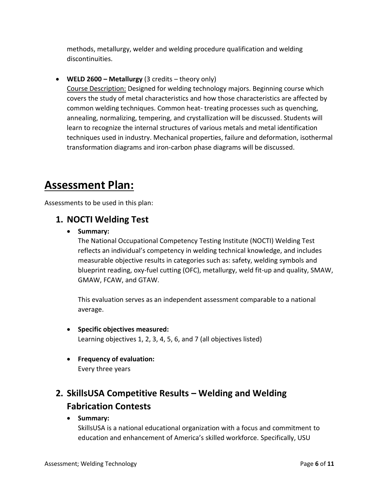methods, metallurgy, welder and welding procedure qualification and welding discontinuities.

• **WELD 2600 – Metallurgy** (3 credits – theory only) Course Description: Designed for welding technology majors. Beginning course which covers the study of metal characteristics and how those characteristics are affected by common welding techniques. Common heat- treating processes such as quenching, annealing, normalizing, tempering, and crystallization will be discussed. Students will learn to recognize the internal structures of various metals and metal identification techniques used in industry. Mechanical properties, failure and deformation, isothermal transformation diagrams and iron-carbon phase diagrams will be discussed.

## **Assessment Plan:**

Assessments to be used in this plan:

### **1. NOCTI Welding Test**

• **Summary:**

The National Occupational Competency Testing Institute (NOCTI) Welding Test reflects an individual's competency in welding technical knowledge, and includes measurable objective results in categories such as: safety, welding symbols and blueprint reading, oxy-fuel cutting (OFC), metallurgy, weld fit-up and quality, SMAW, GMAW, FCAW, and GTAW.

This evaluation serves as an independent assessment comparable to a national average.

- **Specific objectives measured:**  Learning objectives 1, 2, 3, 4, 5, 6, and 7 (all objectives listed)
- **Frequency of evaluation:**  Every three years

## **2. SkillsUSA Competitive Results – Welding and Welding Fabrication Contests**

• **Summary:**

SkillsUSA is a national educational organization with a focus and commitment to education and enhancement of America's skilled workforce. Specifically, USU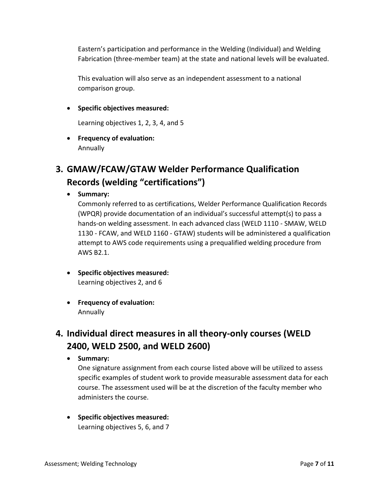Eastern's participation and performance in the Welding (Individual) and Welding Fabrication (three-member team) at the state and national levels will be evaluated.

This evaluation will also serve as an independent assessment to a national comparison group.

• **Specific objectives measured:**

Learning objectives 1, 2, 3, 4, and 5

• **Frequency of evaluation:**  Annually

## **3. GMAW/FCAW/GTAW Welder Performance Qualification Records (welding "certifications")**

• **Summary:**

Commonly referred to as certifications, Welder Performance Qualification Records (WPQR) provide documentation of an individual's successful attempt(s) to pass a hands-on welding assessment. In each advanced class (WELD 1110 - SMAW, WELD 1130 - FCAW, and WELD 1160 - GTAW) students will be administered a qualification attempt to AWS code requirements using a prequalified welding procedure from AWS B2.1.

- **Specific objectives measured:** Learning objectives 2, and 6
- **Frequency of evaluation:**  Annually

### **4. Individual direct measures in all theory-only courses (WELD 2400, WELD 2500, and WELD 2600)**

• **Summary:**

One signature assignment from each course listed above will be utilized to assess specific examples of student work to provide measurable assessment data for each course. The assessment used will be at the discretion of the faculty member who administers the course.

• **Specific objectives measured:** Learning objectives 5, 6, and 7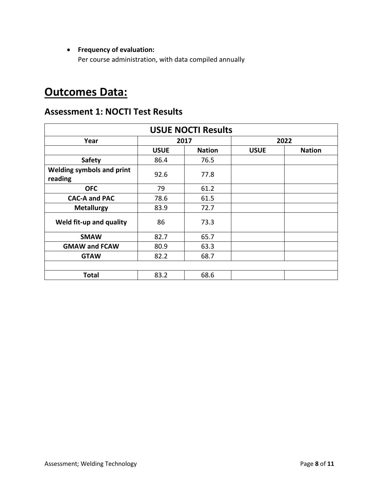#### • **Frequency of evaluation:**

Per course administration, with data compiled annually

## **Outcomes Data:**

### **Assessment 1: NOCTI Test Results**

| <b>USUE NOCTI Results</b>                   |             |               |             |               |
|---------------------------------------------|-------------|---------------|-------------|---------------|
| Year                                        | 2017        |               | 2022        |               |
|                                             | <b>USUE</b> | <b>Nation</b> | <b>USUE</b> | <b>Nation</b> |
| <b>Safety</b>                               | 86.4        | 76.5          |             |               |
| <b>Welding symbols and print</b><br>reading | 92.6        | 77.8          |             |               |
| <b>OFC</b>                                  | 79          | 61.2          |             |               |
| <b>CAC-A and PAC</b>                        | 78.6        | 61.5          |             |               |
| <b>Metallurgy</b>                           | 83.9        | 72.7          |             |               |
| Weld fit-up and quality                     | 86          | 73.3          |             |               |
| <b>SMAW</b>                                 | 82.7        | 65.7          |             |               |
| <b>GMAW and FCAW</b>                        | 80.9        | 63.3          |             |               |
| <b>GTAW</b>                                 | 82.2        | 68.7          |             |               |
|                                             |             |               |             |               |
| <b>Total</b>                                | 83.2        | 68.6          |             |               |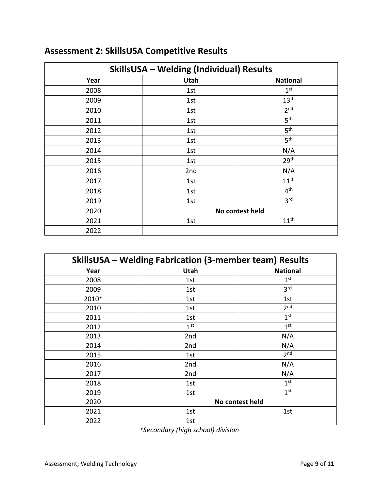| <b>SkillsUSA - Welding (Individual) Results</b> |                 |                  |  |
|-------------------------------------------------|-----------------|------------------|--|
| Year                                            | Utah            | <b>National</b>  |  |
| 2008                                            | 1st             | 1 <sup>st</sup>  |  |
| 2009                                            | 1st             | 13 <sup>th</sup> |  |
| 2010                                            | 1st             | 2 <sub>nd</sub>  |  |
| 2011                                            | 1st             | 5 <sup>th</sup>  |  |
| 2012                                            | 1st             | 5 <sup>th</sup>  |  |
| 2013                                            | 1st             | 5 <sup>th</sup>  |  |
| 2014                                            | 1st             | N/A              |  |
| 2015                                            | 1st             | 29 <sup>th</sup> |  |
| 2016                                            | 2nd             | N/A              |  |
| 2017                                            | 1st             | 11 <sup>th</sup> |  |
| 2018                                            | 1st             | 4 <sup>th</sup>  |  |
| 2019                                            | 1st             | 3 <sup>rd</sup>  |  |
| 2020                                            | No contest held |                  |  |
| 2021                                            | 1st             | 11 <sup>th</sup> |  |
| 2022                                            |                 |                  |  |

## **Assessment 2: SkillsUSA Competitive Results**

| <b>SkillsUSA - Welding Fabrication (3-member team) Results</b> |                 |                 |  |
|----------------------------------------------------------------|-----------------|-----------------|--|
| Year                                                           | <b>Utah</b>     | <b>National</b> |  |
| 2008                                                           | 1st             | 1 <sup>st</sup> |  |
| 2009                                                           | 1st             | 3 <sup>rd</sup> |  |
| 2010*                                                          | 1st             | 1st             |  |
| 2010                                                           | 1st             | 2 <sub>nd</sub> |  |
| 2011                                                           | 1st             | 1 <sup>st</sup> |  |
| 2012                                                           | 1 <sup>st</sup> | 1 <sup>st</sup> |  |
| 2013                                                           | 2nd             | N/A             |  |
| 2014                                                           | 2nd             | N/A             |  |
| 2015                                                           | 1st             | 2 <sup>nd</sup> |  |
| 2016                                                           | 2nd             | N/A             |  |
| 2017                                                           | 2nd             | N/A             |  |
| 2018                                                           | 1st             | 1 <sup>st</sup> |  |
| 2019                                                           | 1st             | 1 <sup>st</sup> |  |
| 2020                                                           |                 | No contest held |  |
| 2021                                                           | 1st             | 1st             |  |
| 2022                                                           | 1st             |                 |  |

*\*Secondary (high school) division*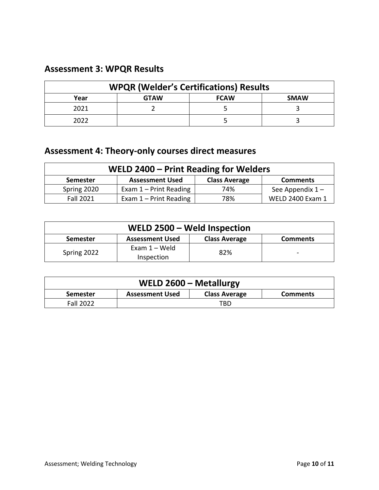### **Assessment 3: WPQR Results**

| <b>WPQR (Welder's Certifications) Results</b> |             |             |             |
|-----------------------------------------------|-------------|-------------|-------------|
| Year                                          | <b>GTAW</b> | <b>FCAW</b> | <b>SMAW</b> |
| 2021                                          |             |             |             |
| 2022                                          |             |             |             |

## **Assessment 4: Theory-only courses direct measures**

| WELD 2400 - Print Reading for Welders |                          |                      |                         |
|---------------------------------------|--------------------------|----------------------|-------------------------|
| <b>Semester</b>                       | <b>Assessment Used</b>   | <b>Class Average</b> | <b>Comments</b>         |
| Spring 2020                           | Exam $1$ – Print Reading | 74%                  | See Appendix $1 -$      |
| <b>Fall 2021</b>                      | Exam $1$ – Print Reading | 78%                  | <b>WELD 2400 Exam 1</b> |

| WELD 2500 - Weld Inspection |                               |                      |                              |
|-----------------------------|-------------------------------|----------------------|------------------------------|
| Semester                    | <b>Assessment Used</b>        | <b>Class Average</b> | <b>Comments</b>              |
| Spring 2022                 | Exam $1 -$ Weld<br>Inspection | 82%                  | $\qquad \qquad \blacksquare$ |

| WELD 2600 - Metallurgy |                        |                      |                 |
|------------------------|------------------------|----------------------|-----------------|
| <b>Semester</b>        | <b>Assessment Used</b> | <b>Class Average</b> | <b>Comments</b> |
| <b>Fall 2022</b>       |                        | TBD.                 |                 |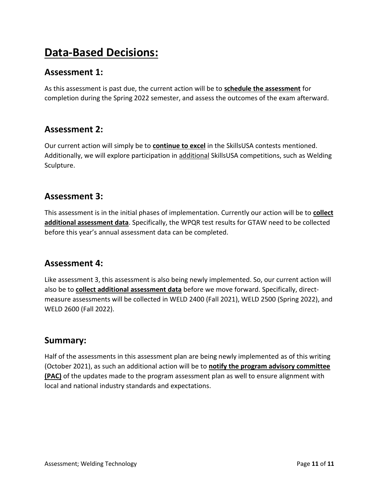## **Data-Based Decisions:**

### **Assessment 1:**

As this assessment is past due, the current action will be to **schedule the assessment** for completion during the Spring 2022 semester, and assess the outcomes of the exam afterward.

### **Assessment 2:**

Our current action will simply be to **continue to excel** in the SkillsUSA contests mentioned. Additionally, we will explore participation in additional SkillsUSA competitions, such as Welding Sculpture.

### **Assessment 3:**

This assessment is in the initial phases of implementation. Currently our action will be to **collect additional assessment data**. Specifically, the WPQR test results for GTAW need to be collected before this year's annual assessment data can be completed.

### **Assessment 4:**

Like assessment 3, this assessment is also being newly implemented. So, our current action will also be to **collect additional assessment data** before we move forward. Specifically, directmeasure assessments will be collected in WELD 2400 (Fall 2021), WELD 2500 (Spring 2022), and WELD 2600 (Fall 2022).

### **Summary:**

Half of the assessments in this assessment plan are being newly implemented as of this writing (October 2021), as such an additional action will be to **notify the program advisory committee (PAC)** of the updates made to the program assessment plan as well to ensure alignment with local and national industry standards and expectations.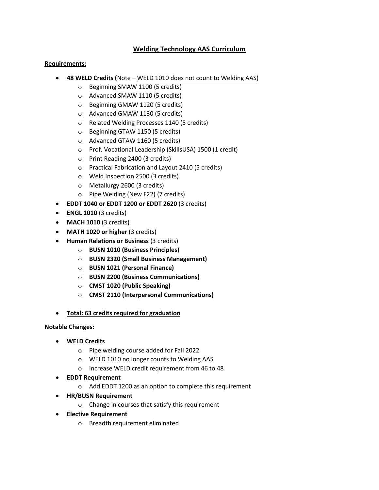#### **Welding Technology AAS Curriculum**

#### **Requirements:**

- **48 WELD Credits (**Note WELD 1010 does not count to Welding AAS)
	- o Beginning SMAW 1100 (5 credits)
	- o Advanced SMAW 1110 (5 credits)
	- o Beginning GMAW 1120 (5 credits)
	- o Advanced GMAW 1130 (5 credits)
	- o Related Welding Processes 1140 (5 credits)
	- o Beginning GTAW 1150 (5 credits)
	- o Advanced GTAW 1160 (5 credits)
	- o Prof. Vocational Leadership (SkillsUSA) 1500 (1 credit)
	- o Print Reading 2400 (3 credits)
	- o Practical Fabrication and Layout 2410 (5 credits)
	- o Weld Inspection 2500 (3 credits)
	- o Metallurgy 2600 (3 credits)
	- o Pipe Welding (New F22) (7 credits)
- **EDDT 1040 or EDDT 1200 or EDDT 2620** (3 credits)
- **ENGL 1010** (3 credits)
- **MACH 1010** (3 credits)
- **MATH 1020 or higher** (3 credits)
- **Human Relations or Business** (3 credits)
	- o **BUSN 1010 (Business Principles)**
	- o **BUSN 2320 (Small Business Management)**
	- o **BUSN 1021 (Personal Finance)**
	- o **BUSN 2200 (Business Communications)**
	- o **CMST 1020 (Public Speaking)**
	- o **CMST 2110 (Interpersonal Communications)**
- **Total: 63 credits required for graduation**

#### **Notable Changes:**

- **WELD Credits**
	- o Pipe welding course added for Fall 2022
	- o WELD 1010 no longer counts to Welding AAS
	- o Increase WELD credit requirement from 46 to 48
- **EDDT Requirement**
	- $\circ$  Add EDDT 1200 as an option to complete this requirement
- **HR/BUSN Requirement**
	- o Change in courses that satisfy this requirement
- **Elective Requirement**
	- o Breadth requirement eliminated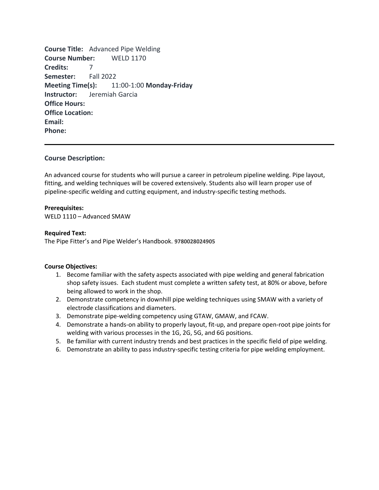**Course Title:** Advanced Pipe Welding **Course Number:** WELD 1170 **Credits:** 7 **Semester:** Fall 2022 **Meeting Time(s):** 11:00-1:00 **Monday-Friday Instructor:** Jeremiah Garcia **Office Hours: Office Location: Email: Phone:** 

#### **Course Description:**

An advanced course for students who will pursue a career in petroleum pipeline welding. Pipe layout, fitting, and welding techniques will be covered extensively. Students also will learn proper use of pipeline-specific welding and cutting equipment, and industry-specific testing methods.

#### **Prerequisites:**

WELD 1110 – Advanced SMAW

#### **Required Text:**

The Pipe Fitter's and Pipe Welder's Handbook. **9780028024905**

#### **Course Objectives:**

- 1. Become familiar with the safety aspects associated with pipe welding and general fabrication shop safety issues. Each student must complete a written safety test, at 80% or above, before being allowed to work in the shop.
- 2. Demonstrate competency in downhill pipe welding techniques using SMAW with a variety of electrode classifications and diameters.
- 3. Demonstrate pipe-welding competency using GTAW, GMAW, and FCAW.
- 4. Demonstrate a hands-on ability to properly layout, fit-up, and prepare open-root pipe joints for welding with various processes in the 1G, 2G, 5G, and 6G positions.
- 5. Be familiar with current industry trends and best practices in the specific field of pipe welding.
- 6. Demonstrate an ability to pass industry-specific testing criteria for pipe welding employment.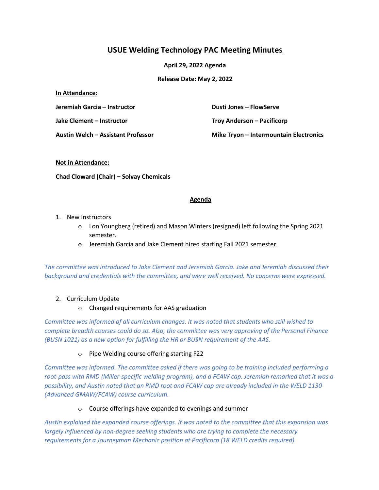### **USUE Welding Technology PAC Meeting Minutes**

**April 29, 2022 Agenda**

**Release Date: May 2, 2022**

#### **In Attendance:**

**Jeremiah Garcia – Instructor**

**Jake Clement – Instructor**

**Austin Welch – Assistant Professor**

**Dusti Jones – FlowServe Troy Anderson – Pacificorp Mike Tryon – Intermountain Electronics** 

#### **Not in Attendance:**

**Chad Cloward (Chair) – Solvay Chemicals** 

#### **Agenda**

- 1. New Instructors
	- o Lon Youngberg (retired) and Mason Winters (resigned) left following the Spring 2021 semester.
	- o Jeremiah Garcia and Jake Clement hired starting Fall 2021 semester.

*The committee was introduced to Jake Clement and Jeremiah Garcia. Jake and Jeremiah discussed their background and credentials with the committee, and were well received. No concerns were expressed.* 

#### 2. Curriculum Update

o Changed requirements for AAS graduation

*Committee was informed of all curriculum changes. It was noted that students who still wished to complete breadth courses could do so. Also, the committee was very approving of the Personal Finance (BUSN 1021) as a new option for fulfilling the HR or BUSN requirement of the AAS.* 

#### o Pipe Welding course offering starting F22

*Committee was informed. The committee asked if there was going to be training included performing a root-pass with RMD (Miller-specific welding program), and a FCAW cap. Jeremiah remarked that it was a possibility, and Austin noted that an RMD root and FCAW cap are already included in the WELD 1130 (Advanced GMAW/FCAW) course curriculum.* 

#### o Course offerings have expanded to evenings and summer

*Austin explained the expanded course offerings. It was noted to the committee that this expansion was largely influenced by non-degree seeking students who are trying to complete the necessary requirements for a Journeyman Mechanic position at Pacificorp (18 WELD credits required).*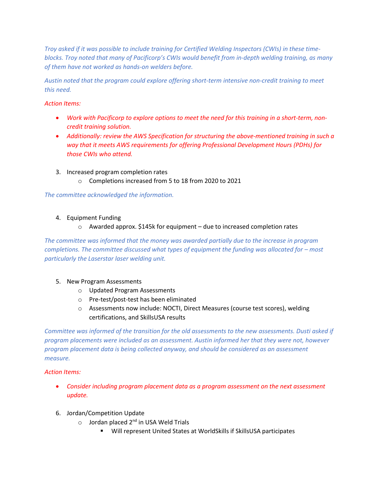*Troy asked if it was possible to include training for Certified Welding Inspectors (CWIs) in these timeblocks. Troy noted that many of Pacificorp's CWIs would benefit from in-depth welding training, as many of them have not worked as hands-on welders before.* 

*Austin noted that the program could explore offering short-term intensive non-credit training to meet this need.* 

#### *Action Items:*

- *Work with Pacificorp to explore options to meet the need for this training in a short-term, noncredit training solution.*
- *Additionally: review the AWS Specification for structuring the above-mentioned training in such a way that it meets AWS requirements for offering Professional Development Hours (PDHs) for those CWIs who attend.*
- 3. Increased program completion rates
	- o Completions increased from 5 to 18 from 2020 to 2021

*The committee acknowledged the information.*

#### 4. Equipment Funding

o Awarded approx. \$145k for equipment – due to increased completion rates

*The committee was informed that the money was awarded partially due to the increase in program completions. The committee discussed what types of equipment the funding was allocated for – most particularly the Laserstar laser welding unit.* 

#### 5. New Program Assessments

- o Updated Program Assessments
- o Pre-test/post-test has been eliminated
- o Assessments now include: NOCTI, Direct Measures (course test scores), welding certifications, and SkillsUSA results

*Committee was informed of the transition for the old assessments to the new assessments. Dusti asked if program placements were included as an assessment. Austin informed her that they were not, however program placement data is being collected anyway, and should be considered as an assessment measure.* 

#### *Action Items:*

- *Consider including program placement data as a program assessment on the next assessment update.*
- 6. Jordan/Competition Update
	- $\circ$  Jordan placed 2<sup>nd</sup> in USA Weld Trials
		- Will represent United States at WorldSkills if SkillsUSA participates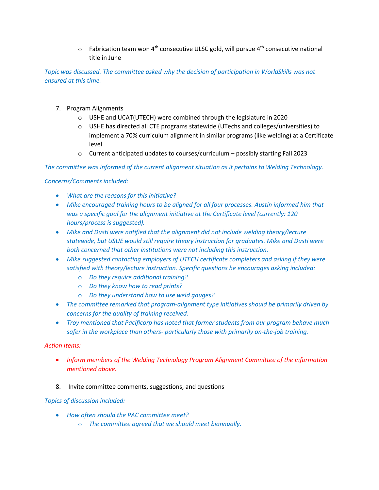$\circ$  Fabrication team won 4<sup>th</sup> consecutive ULSC gold, will pursue 4<sup>th</sup> consecutive national title in June

*Topic was discussed. The committee asked why the decision of participation in WorldSkills was not ensured at this time.*

- 7. Program Alignments
	- o USHE and UCAT(UTECH) were combined through the legislature in 2020
	- $\circ$  USHE has directed all CTE programs statewide (UTechs and colleges/universities) to implement a 70% curriculum alignment in similar programs (like welding) at a Certificate level
	- o Current anticipated updates to courses/curriculum possibly starting Fall 2023

*The committee was informed of the current alignment situation as it pertains to Welding Technology.* 

*Concerns/Comments included:*

- *What are the reasons for this initiative?*
- *Mike encouraged training hours to be aligned for all four processes. Austin informed him that was a specific goal for the alignment initiative at the Certificate level (currently: 120 hours/process is suggested).*
- *Mike and Dusti were notified that the alignment did not include welding theory/lecture statewide, but USUE would still require theory instruction for graduates. Mike and Dusti were both concerned that other institutions were not including this instruction.*
- *Mike suggested contacting employers of UTECH certificate completers and asking if they were satisfied with theory/lecture instruction. Specific questions he encourages asking included:*
	- o *Do they require additional training?*
	- o *Do they know how to read prints?*
	- o *Do they understand how to use weld gauges?*
- *The committee remarked that program-alignment type initiatives should be primarily driven by concerns for the quality of training received.*
- *Troy mentioned that Pacificorp has noted that former students from our program behave much safer in the workplace than others- particularly those with primarily on-the-job training.*

#### *Action Items:*

- *Inform members of the Welding Technology Program Alignment Committee of the information mentioned above.*
- 8. Invite committee comments, suggestions, and questions

#### *Topics of discussion included:*

- *How often should the PAC committee meet?*
	- o *The committee agreed that we should meet biannually.*